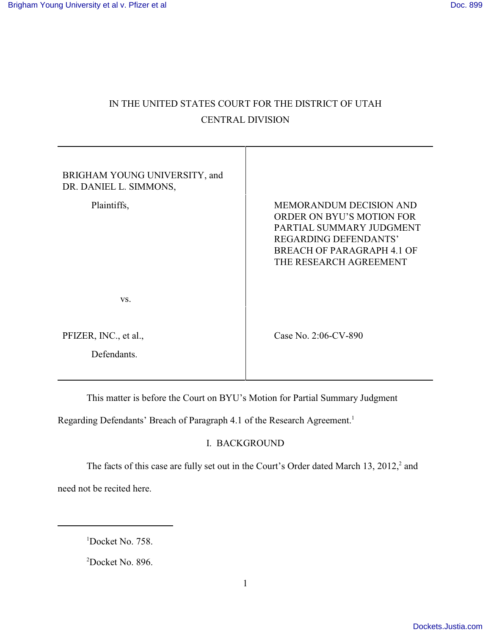# IN THE UNITED STATES COURT FOR THE DISTRICT OF UTAH CENTRAL DIVISION

| BRIGHAM YOUNG UNIVERSITY, and<br>DR. DANIEL L. SIMMONS, |                                                                                                                                                                          |
|---------------------------------------------------------|--------------------------------------------------------------------------------------------------------------------------------------------------------------------------|
| Plaintiffs,                                             | MEMORANDUM DECISION AND<br>ORDER ON BYU'S MOTION FOR<br>PARTIAL SUMMARY JUDGMENT<br><b>REGARDING DEFENDANTS'</b><br>BREACH OF PARAGRAPH 4.1 OF<br>THE RESEARCH AGREEMENT |
| VS.                                                     |                                                                                                                                                                          |
| PFIZER, INC., et al.,<br>Defendants.                    | Case No. 2:06-CV-890                                                                                                                                                     |

This matter is before the Court on BYU's Motion for Partial Summary Judgment

Regarding Defendants' Breach of Paragraph 4.1 of the Research Agreement.<sup>1</sup>

## I. BACKGROUND

The facts of this case are fully set out in the Court's Order dated March 13, 2012,<sup>2</sup> and need not be recited here.

 $1$ Docket No. 758.

 $2$ Docket No. 896.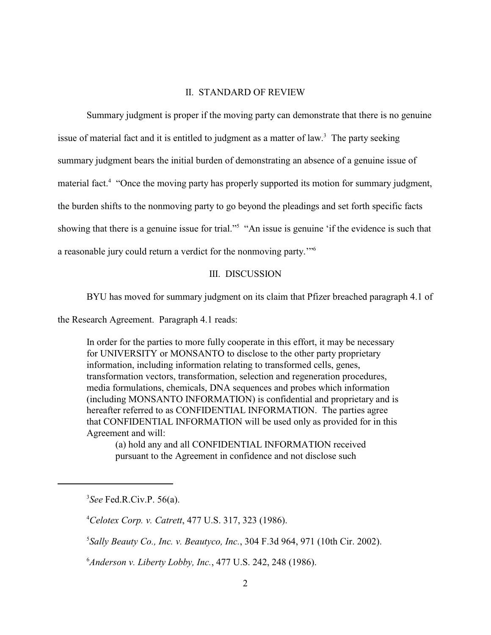#### II. STANDARD OF REVIEW

Summary judgment is proper if the moving party can demonstrate that there is no genuine issue of material fact and it is entitled to judgment as a matter of law.<sup>3</sup> The party seeking summary judgment bears the initial burden of demonstrating an absence of a genuine issue of material fact.<sup>4</sup> "Once the moving party has properly supported its motion for summary judgment, the burden shifts to the nonmoving party to go beyond the pleadings and set forth specific facts showing that there is a genuine issue for trial."<sup>5</sup> "An issue is genuine 'if the evidence is such that a reasonable jury could return a verdict for the nonmoving party.'"<sup>6</sup>

### III. DISCUSSION

BYU has moved for summary judgment on its claim that Pfizer breached paragraph 4.1 of

the Research Agreement. Paragraph 4.1 reads:

In order for the parties to more fully cooperate in this effort, it may be necessary for UNIVERSITY or MONSANTO to disclose to the other party proprietary information, including information relating to transformed cells, genes, transformation vectors, transformation, selection and regeneration procedures, media formulations, chemicals, DNA sequences and probes which information (including MONSANTO INFORMATION) is confidential and proprietary and is hereafter referred to as CONFIDENTIAL INFORMATION. The parties agree that CONFIDENTIAL INFORMATION will be used only as provided for in this Agreement and will:

(a) hold any and all CONFIDENTIAL INFORMATION received pursuant to the Agreement in confidence and not disclose such

*See* Fed.R.Civ.P. 56(a). 3

*Celotex Corp. v. Catrett*, 477 U.S. 317, 323 (1986). <sup>4</sup>

*Sally Beauty Co., Inc. v. Beautyco, Inc.*, 304 F.3d 964, 971 (10th Cir. 2002). <sup>5</sup>

*Anderson v. Liberty Lobby, Inc.*, 477 U.S. 242, 248 (1986). <sup>6</sup>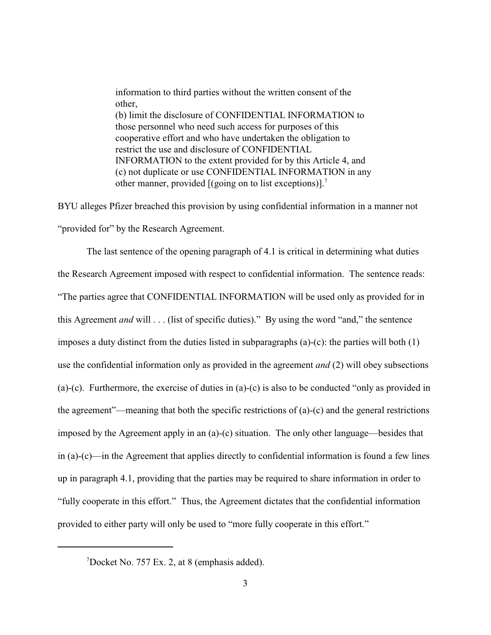information to third parties without the written consent of the other, (b) limit the disclosure of CONFIDENTIAL INFORMATION to those personnel who need such access for purposes of this cooperative effort and who have undertaken the obligation to restrict the use and disclosure of CONFIDENTIAL INFORMATION to the extent provided for by this Article 4, and (c) not duplicate or use CONFIDENTIAL INFORMATION in any other manner, provided [(going on to list exceptions)].<sup>7</sup>

BYU alleges Pfizer breached this provision by using confidential information in a manner not "provided for" by the Research Agreement.

The last sentence of the opening paragraph of 4.1 is critical in determining what duties the Research Agreement imposed with respect to confidential information. The sentence reads: "The parties agree that CONFIDENTIAL INFORMATION will be used only as provided for in this Agreement *and* will . . . (list of specific duties)." By using the word "and," the sentence imposes a duty distinct from the duties listed in subparagraphs (a)-(c): the parties will both (1) use the confidential information only as provided in the agreement *and* (2) will obey subsections (a)-(c). Furthermore, the exercise of duties in (a)-(c) is also to be conducted "only as provided in the agreement"—meaning that both the specific restrictions of (a)-(c) and the general restrictions imposed by the Agreement apply in an (a)-(c) situation. The only other language—besides that in (a)-(c)—in the Agreement that applies directly to confidential information is found a few lines up in paragraph 4.1, providing that the parties may be required to share information in order to "fully cooperate in this effort." Thus, the Agreement dictates that the confidential information provided to either party will only be used to "more fully cooperate in this effort."

 $7$ Docket No. 757 Ex. 2, at 8 (emphasis added).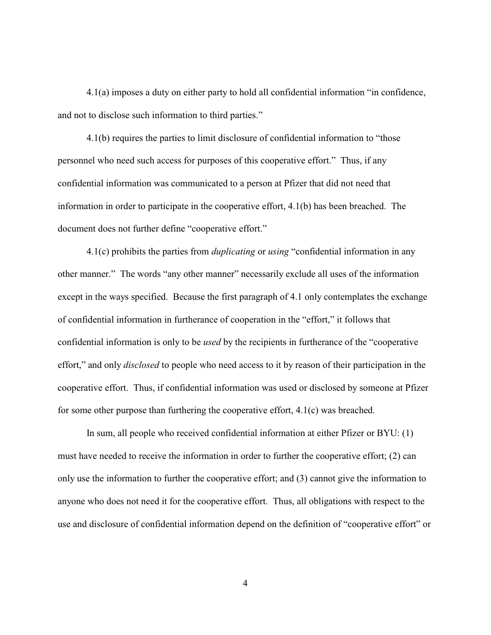4.1(a) imposes a duty on either party to hold all confidential information "in confidence, and not to disclose such information to third parties."

4.1(b) requires the parties to limit disclosure of confidential information to "those personnel who need such access for purposes of this cooperative effort." Thus, if any confidential information was communicated to a person at Pfizer that did not need that information in order to participate in the cooperative effort, 4.1(b) has been breached. The document does not further define "cooperative effort."

4.1(c) prohibits the parties from *duplicating* or *using* "confidential information in any other manner." The words "any other manner" necessarily exclude all uses of the information except in the ways specified. Because the first paragraph of 4.1 only contemplates the exchange of confidential information in furtherance of cooperation in the "effort," it follows that confidential information is only to be *used* by the recipients in furtherance of the "cooperative effort," and only *disclosed* to people who need access to it by reason of their participation in the cooperative effort. Thus, if confidential information was used or disclosed by someone at Pfizer for some other purpose than furthering the cooperative effort, 4.1(c) was breached.

In sum, all people who received confidential information at either Pfizer or BYU: (1) must have needed to receive the information in order to further the cooperative effort; (2) can only use the information to further the cooperative effort; and (3) cannot give the information to anyone who does not need it for the cooperative effort. Thus, all obligations with respect to the use and disclosure of confidential information depend on the definition of "cooperative effort" or

4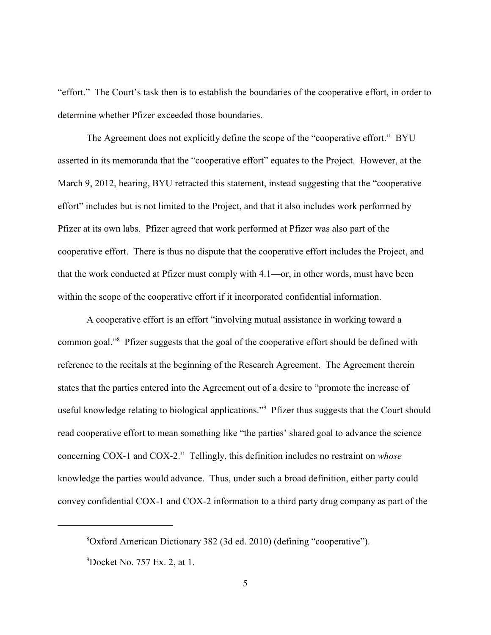"effort." The Court's task then is to establish the boundaries of the cooperative effort, in order to determine whether Pfizer exceeded those boundaries.

The Agreement does not explicitly define the scope of the "cooperative effort." BYU asserted in its memoranda that the "cooperative effort" equates to the Project. However, at the March 9, 2012, hearing, BYU retracted this statement, instead suggesting that the "cooperative effort" includes but is not limited to the Project, and that it also includes work performed by Pfizer at its own labs. Pfizer agreed that work performed at Pfizer was also part of the cooperative effort. There is thus no dispute that the cooperative effort includes the Project, and that the work conducted at Pfizer must comply with 4.1—or, in other words, must have been within the scope of the cooperative effort if it incorporated confidential information.

A cooperative effort is an effort "involving mutual assistance in working toward a common goal."<sup>8</sup> Pfizer suggests that the goal of the cooperative effort should be defined with reference to the recitals at the beginning of the Research Agreement. The Agreement therein states that the parties entered into the Agreement out of a desire to "promote the increase of useful knowledge relating to biological applications."<sup>9</sup> Pfizer thus suggests that the Court should read cooperative effort to mean something like "the parties' shared goal to advance the science concerning COX-1 and COX-2." Tellingly, this definition includes no restraint on *whose* knowledge the parties would advance. Thus, under such a broad definition, either party could convey confidential COX-1 and COX-2 information to a third party drug company as part of the

Oxford American Dictionary 382 (3d ed. 2010) (defining "cooperative"). 8

 $^{9}$ Docket No. 757 Ex. 2, at 1.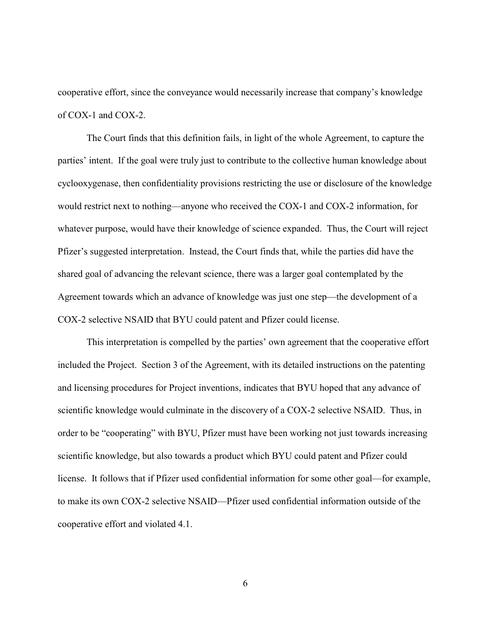cooperative effort, since the conveyance would necessarily increase that company's knowledge of COX-1 and COX-2.

The Court finds that this definition fails, in light of the whole Agreement, to capture the parties' intent. If the goal were truly just to contribute to the collective human knowledge about cyclooxygenase, then confidentiality provisions restricting the use or disclosure of the knowledge would restrict next to nothing—anyone who received the COX-1 and COX-2 information, for whatever purpose, would have their knowledge of science expanded. Thus, the Court will reject Pfizer's suggested interpretation. Instead, the Court finds that, while the parties did have the shared goal of advancing the relevant science, there was a larger goal contemplated by the Agreement towards which an advance of knowledge was just one step—the development of a COX-2 selective NSAID that BYU could patent and Pfizer could license.

This interpretation is compelled by the parties' own agreement that the cooperative effort included the Project. Section 3 of the Agreement, with its detailed instructions on the patenting and licensing procedures for Project inventions, indicates that BYU hoped that any advance of scientific knowledge would culminate in the discovery of a COX-2 selective NSAID. Thus, in order to be "cooperating" with BYU, Pfizer must have been working not just towards increasing scientific knowledge, but also towards a product which BYU could patent and Pfizer could license. It follows that if Pfizer used confidential information for some other goal—for example, to make its own COX-2 selective NSAID—Pfizer used confidential information outside of the cooperative effort and violated 4.1.

6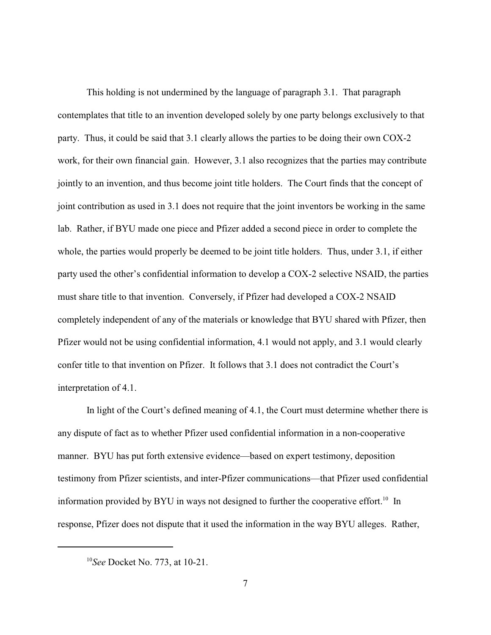This holding is not undermined by the language of paragraph 3.1. That paragraph contemplates that title to an invention developed solely by one party belongs exclusively to that party. Thus, it could be said that 3.1 clearly allows the parties to be doing their own COX-2 work, for their own financial gain. However, 3.1 also recognizes that the parties may contribute jointly to an invention, and thus become joint title holders. The Court finds that the concept of joint contribution as used in 3.1 does not require that the joint inventors be working in the same lab. Rather, if BYU made one piece and Pfizer added a second piece in order to complete the whole, the parties would properly be deemed to be joint title holders. Thus, under 3.1, if either party used the other's confidential information to develop a COX-2 selective NSAID, the parties must share title to that invention. Conversely, if Pfizer had developed a COX-2 NSAID completely independent of any of the materials or knowledge that BYU shared with Pfizer, then Pfizer would not be using confidential information, 4.1 would not apply, and 3.1 would clearly confer title to that invention on Pfizer. It follows that 3.1 does not contradict the Court's interpretation of 4.1.

In light of the Court's defined meaning of 4.1, the Court must determine whether there is any dispute of fact as to whether Pfizer used confidential information in a non-cooperative manner. BYU has put forth extensive evidence—based on expert testimony, deposition testimony from Pfizer scientists, and inter-Pfizer communications—that Pfizer used confidential information provided by BYU in ways not designed to further the cooperative effort.<sup>10</sup> In response, Pfizer does not dispute that it used the information in the way BYU alleges. Rather,

<sup>&</sup>lt;sup>10</sup>See Docket No. 773, at 10-21.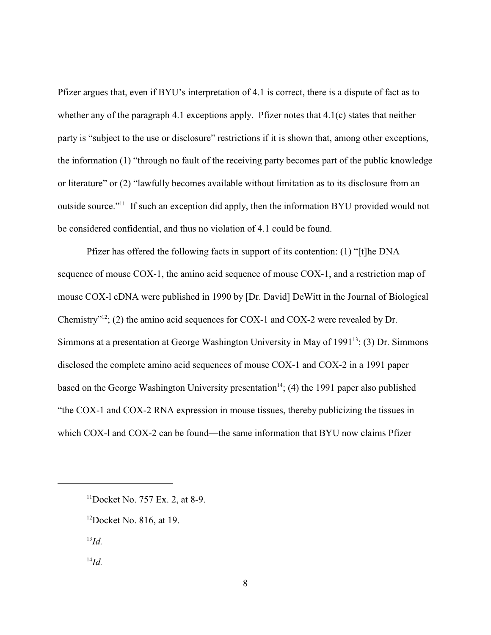Pfizer argues that, even if BYU's interpretation of 4.1 is correct, there is a dispute of fact as to whether any of the paragraph 4.1 exceptions apply. Pfizer notes that 4.1(c) states that neither party is "subject to the use or disclosure" restrictions if it is shown that, among other exceptions, the information (1) "through no fault of the receiving party becomes part of the public knowledge or literature" or (2) "lawfully becomes available without limitation as to its disclosure from an outside source."<sup>11</sup> If such an exception did apply, then the information BYU provided would not be considered confidential, and thus no violation of 4.1 could be found.

Pfizer has offered the following facts in support of its contention: (1) "[t]he DNA sequence of mouse COX-1, the amino acid sequence of mouse COX-1, and a restriction map of mouse COX-l cDNA were published in 1990 by [Dr. David] DeWitt in the Journal of Biological Chemistry"<sup>12</sup>; (2) the amino acid sequences for COX-1 and COX-2 were revealed by Dr. Simmons at a presentation at George Washington University in May of  $1991<sup>13</sup>$ ; (3) Dr. Simmons disclosed the complete amino acid sequences of mouse COX-1 and COX-2 in a 1991 paper based on the George Washington University presentation<sup>14</sup>; (4) the 1991 paper also published "the COX-1 and COX-2 RNA expression in mouse tissues, thereby publicizing the tissues in which COX-1 and COX-2 can be found—the same information that BYU now claims Pfizer

 $^{13}Id.$ 

 $^{14}Id$ 

 $11$ Docket No. 757 Ex. 2, at 8-9.

 $12$ Docket No. 816, at 19.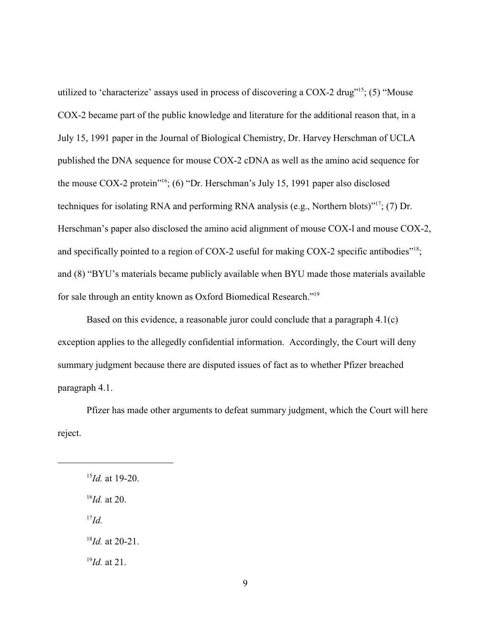utilized to 'characterize' assays used in process of discovering a COX-2 drug"<sup>15</sup>; (5) "Mouse COX-2 became part of the public knowledge and literature for the additional reason that, in a July 15, 1991 paper in the Journal of Biological Chemistry, Dr. Harvey Herschman of UCLA published the DNA sequence for mouse COX-2 cDNA as well as the amino acid sequence for the mouse COX-2 protein"<sup>16</sup>; (6) "Dr. Herschman's July 15, 1991 paper also disclosed techniques for isolating RNA and performing RNA analysis (e.g., Northern blots)"<sup>17</sup>; (7) Dr. Herschman's paper also disclosed the amino acid alignment of mouse COX-l and mouse COX-2, and specifically pointed to a region of COX-2 useful for making COX-2 specific antibodies"<sup>18</sup>; and (8) "BYU's materials became publicly available when BYU made those materials available for sale through an entity known as Oxford Biomedical Research."<sup>19</sup>

Based on this evidence, a reasonable juror could conclude that a paragraph 4.1(c) exception applies to the allegedly confidential information. Accordingly, the Court will deny summary judgment because there are disputed issues of fact as to whether Pfizer breached paragraph 4.1.

Pfizer has made other arguments to defeat summary judgment, which the Court will here reject.

 $^{15}$ *Id.* at 19-20.  $^{16}$ *Id.* at 20.  $^{17}Id.$  $^{18}$ *Id.* at 20-21.  $^{19}$ *Id.* at 21.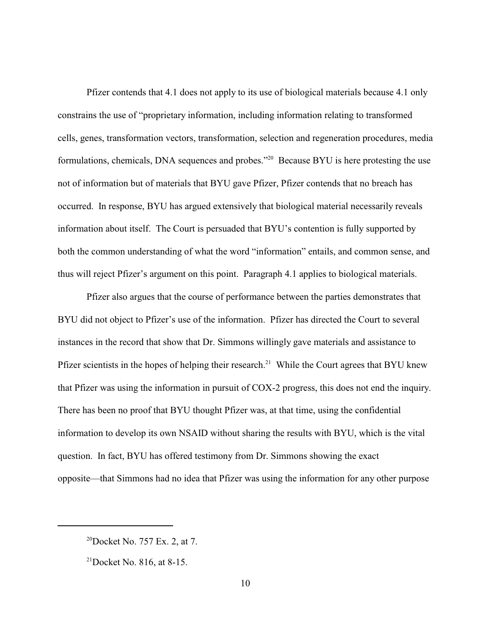Pfizer contends that 4.1 does not apply to its use of biological materials because 4.1 only constrains the use of "proprietary information, including information relating to transformed cells, genes, transformation vectors, transformation, selection and regeneration procedures, media formulations, chemicals, DNA sequences and probes."<sup>20</sup> Because BYU is here protesting the use not of information but of materials that BYU gave Pfizer, Pfizer contends that no breach has occurred. In response, BYU has argued extensively that biological material necessarily reveals information about itself. The Court is persuaded that BYU's contention is fully supported by both the common understanding of what the word "information" entails, and common sense, and thus will reject Pfizer's argument on this point. Paragraph 4.1 applies to biological materials.

Pfizer also argues that the course of performance between the parties demonstrates that BYU did not object to Pfizer's use of the information. Pfizer has directed the Court to several instances in the record that show that Dr. Simmons willingly gave materials and assistance to Pfizer scientists in the hopes of helping their research.<sup>21</sup> While the Court agrees that BYU knew that Pfizer was using the information in pursuit of COX-2 progress, this does not end the inquiry. There has been no proof that BYU thought Pfizer was, at that time, using the confidential information to develop its own NSAID without sharing the results with BYU, which is the vital question. In fact, BYU has offered testimony from Dr. Simmons showing the exact opposite—that Simmons had no idea that Pfizer was using the information for any other purpose

 $^{20}$ Docket No. 757 Ex. 2, at 7.

 $^{21}$ Docket No. 816, at 8-15.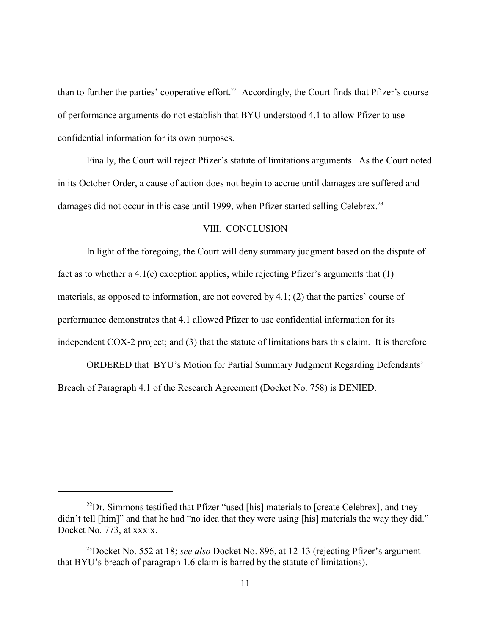than to further the parties' cooperative effort.<sup>22</sup> Accordingly, the Court finds that Pfizer's course of performance arguments do not establish that BYU understood 4.1 to allow Pfizer to use confidential information for its own purposes.

Finally, the Court will reject Pfizer's statute of limitations arguments. As the Court noted in its October Order, a cause of action does not begin to accrue until damages are suffered and damages did not occur in this case until 1999, when Pfizer started selling Celebrex.<sup>23</sup>

#### VIII. CONCLUSION

In light of the foregoing, the Court will deny summary judgment based on the dispute of fact as to whether a 4.1(c) exception applies, while rejecting Pfizer's arguments that (1) materials, as opposed to information, are not covered by 4.1; (2) that the parties' course of performance demonstrates that 4.1 allowed Pfizer to use confidential information for its independent COX-2 project; and (3) that the statute of limitations bars this claim. It is therefore

ORDERED that BYU's Motion for Partial Summary Judgment Regarding Defendants' Breach of Paragraph 4.1 of the Research Agreement (Docket No. 758) is DENIED.

 $^{22}$ Dr. Simmons testified that Pfizer "used [his] materials to [create Celebrex], and they didn't tell [him]" and that he had "no idea that they were using [his] materials the way they did." Docket No. 773, at xxxix.

<sup>&</sup>lt;sup>23</sup>Docket No. 552 at 18; *see also* Docket No. 896, at 12-13 (rejecting Pfizer's argument that BYU's breach of paragraph 1.6 claim is barred by the statute of limitations).